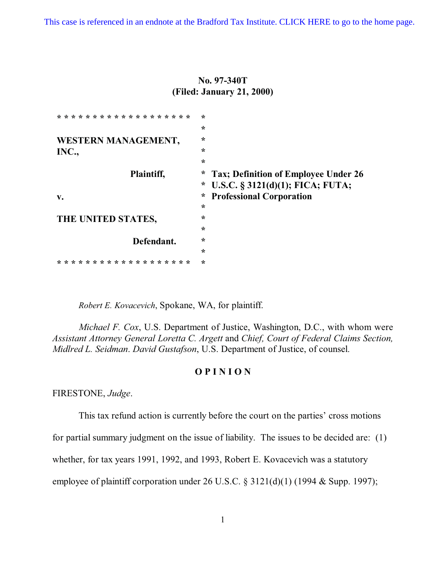[This case is referenced in an endnote at the Bradford Tax Institute. CLICK HERE to go to the home page.](http://bradfordtaxinstitute.com/index1.aspx)

**No. 97-340T (Filed: January 21, 2000)**

| * * * * * * * * * * * * * * * * * * * | $\star$ |                                      |
|---------------------------------------|---------|--------------------------------------|
|                                       | $\star$ |                                      |
| WESTERN MANAGEMENT,                   | $\star$ |                                      |
| INC.,                                 | $\star$ |                                      |
|                                       | $\star$ |                                      |
| Plaintiff,                            | $\ast$  | Tax; Definition of Employee Under 26 |
|                                       | $\ast$  | U.S.C. $\S$ 3121(d)(1); FICA; FUTA;  |
| $V_{\bullet}$                         | $\ast$  | <b>Professional Corporation</b>      |
|                                       | *       |                                      |
| THE UNITED STATES,                    | $\star$ |                                      |
|                                       | $\star$ |                                      |
| Defendant.                            | $\star$ |                                      |
|                                       | $\star$ |                                      |
| * * * * * * * * * * * * * *           | $\star$ |                                      |

*Robert E. Kovacevich*, Spokane, WA, for plaintiff.

*Michael F. Cox*, U.S. Department of Justice, Washington, D.C., with whom were *Assistant Attorney General Loretta C. Argett* and *Chief, Court of Federal Claims Section, Midlred L. Seidman*. *David Gustafson*, U.S. Department of Justice, of counsel.

## **O P I N I O N**

FIRESTONE, *Judge*.

This tax refund action is currently before the court on the parties' cross motions

for partial summary judgment on the issue of liability. The issues to be decided are: (1)

whether, for tax years 1991, 1992, and 1993, Robert E. Kovacevich was a statutory

employee of plaintiff corporation under 26 U.S.C. § 3121(d)(1) (1994 & Supp. 1997);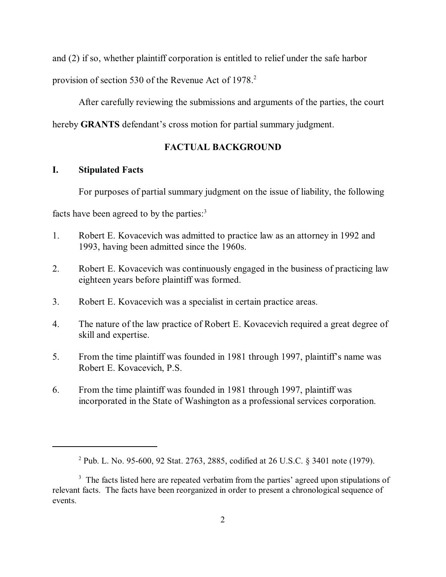and (2) if so, whether plaintiff corporation is entitled to relief under the safe harbor

provision of section 530 of the Revenue Act of 1978.<sup>2</sup>

After carefully reviewing the submissions and arguments of the parties, the court

hereby **GRANTS** defendant's cross motion for partial summary judgment.

# **FACTUAL BACKGROUND**

# **I. Stipulated Facts**

For purposes of partial summary judgment on the issue of liability, the following

facts have been agreed to by the parties: $3$ 

- 1. Robert E. Kovacevich was admitted to practice law as an attorney in 1992 and 1993, having been admitted since the 1960s.
- 2. Robert E. Kovacevich was continuously engaged in the business of practicing law eighteen years before plaintiff was formed.
- 3. Robert E. Kovacevich was a specialist in certain practice areas.
- 4. The nature of the law practice of Robert E. Kovacevich required a great degree of skill and expertise.
- 5. From the time plaintiff was founded in 1981 through 1997, plaintiff's name was Robert E. Kovacevich, P.S.
- 6. From the time plaintiff was founded in 1981 through 1997, plaintiff was incorporated in the State of Washington as a professional services corporation.

<sup>2</sup> Pub. L. No. 95-600, 92 Stat. 2763, 2885, codified at 26 U.S.C. § 3401 note (1979).

<sup>&</sup>lt;sup>3</sup> The facts listed here are repeated verbatim from the parties' agreed upon stipulations of relevant facts. The facts have been reorganized in order to present a chronological sequence of events.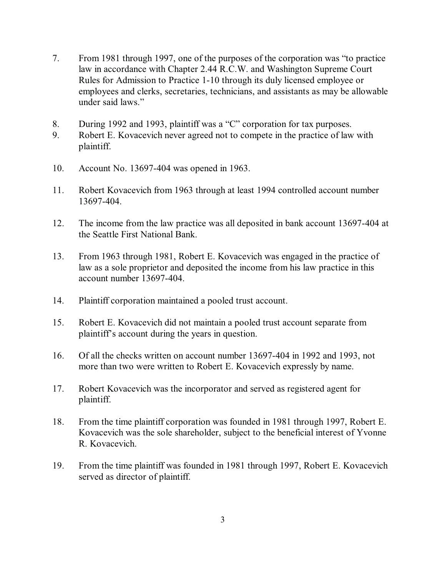- 7. From 1981 through 1997, one of the purposes of the corporation was "to practice law in accordance with Chapter 2.44 R.C.W. and Washington Supreme Court Rules for Admission to Practice 1-10 through its duly licensed employee or employees and clerks, secretaries, technicians, and assistants as may be allowable under said laws."
- 8. During 1992 and 1993, plaintiff was a "C" corporation for tax purposes.
- 9. Robert E. Kovacevich never agreed not to compete in the practice of law with plaintiff.
- 10. Account No. 13697-404 was opened in 1963.
- 11. Robert Kovacevich from 1963 through at least 1994 controlled account number 13697-404.
- 12. The income from the law practice was all deposited in bank account 13697-404 at the Seattle First National Bank.
- 13. From 1963 through 1981, Robert E. Kovacevich was engaged in the practice of law as a sole proprietor and deposited the income from his law practice in this account number 13697-404.
- 14. Plaintiff corporation maintained a pooled trust account.
- 15. Robert E. Kovacevich did not maintain a pooled trust account separate from plaintiff's account during the years in question.
- 16. Of all the checks written on account number 13697-404 in 1992 and 1993, not more than two were written to Robert E. Kovacevich expressly by name.
- 17. Robert Kovacevich was the incorporator and served as registered agent for plaintiff.
- 18. From the time plaintiff corporation was founded in 1981 through 1997, Robert E. Kovacevich was the sole shareholder, subject to the beneficial interest of Yvonne R. Kovacevich.
- 19. From the time plaintiff was founded in 1981 through 1997, Robert E. Kovacevich served as director of plaintiff.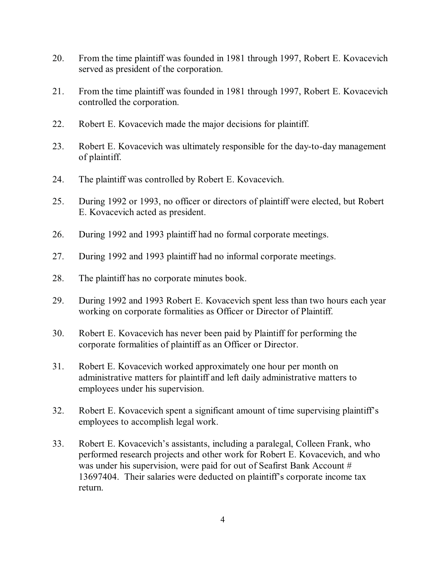- 20. From the time plaintiff was founded in 1981 through 1997, Robert E. Kovacevich served as president of the corporation.
- 21. From the time plaintiff was founded in 1981 through 1997, Robert E. Kovacevich controlled the corporation.
- 22. Robert E. Kovacevich made the major decisions for plaintiff.
- 23. Robert E. Kovacevich was ultimately responsible for the day-to-day management of plaintiff.
- 24. The plaintiff was controlled by Robert E. Kovacevich.
- 25. During 1992 or 1993, no officer or directors of plaintiff were elected, but Robert E. Kovacevich acted as president.
- 26. During 1992 and 1993 plaintiff had no formal corporate meetings.
- 27. During 1992 and 1993 plaintiff had no informal corporate meetings.
- 28. The plaintiff has no corporate minutes book.
- 29. During 1992 and 1993 Robert E. Kovacevich spent less than two hours each year working on corporate formalities as Officer or Director of Plaintiff.
- 30. Robert E. Kovacevich has never been paid by Plaintiff for performing the corporate formalities of plaintiff as an Officer or Director.
- 31. Robert E. Kovacevich worked approximately one hour per month on administrative matters for plaintiff and left daily administrative matters to employees under his supervision.
- 32. Robert E. Kovacevich spent a significant amount of time supervising plaintiff's employees to accomplish legal work.
- 33. Robert E. Kovacevich's assistants, including a paralegal, Colleen Frank, who performed research projects and other work for Robert E. Kovacevich, and who was under his supervision, were paid for out of Seafirst Bank Account # 13697404. Their salaries were deducted on plaintiff's corporate income tax return.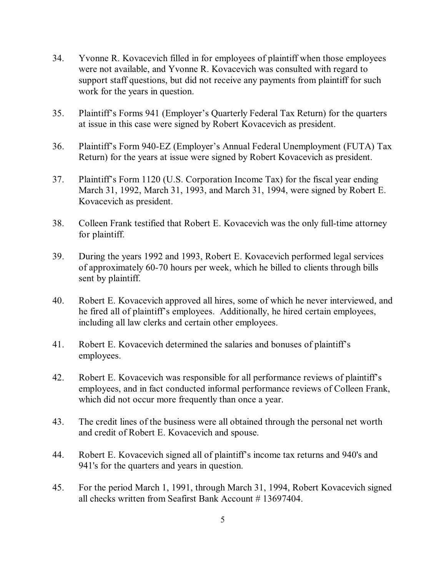- 34. Yvonne R. Kovacevich filled in for employees of plaintiff when those employees were not available, and Yvonne R. Kovacevich was consulted with regard to support staff questions, but did not receive any payments from plaintiff for such work for the years in question.
- 35. Plaintiff's Forms 941 (Employer's Quarterly Federal Tax Return) for the quarters at issue in this case were signed by Robert Kovacevich as president.
- 36. Plaintiff's Form 940-EZ (Employer's Annual Federal Unemployment (FUTA) Tax Return) for the years at issue were signed by Robert Kovacevich as president.
- 37. Plaintiff's Form 1120 (U.S. Corporation Income Tax) for the fiscal year ending March 31, 1992, March 31, 1993, and March 31, 1994, were signed by Robert E. Kovacevich as president.
- 38. Colleen Frank testified that Robert E. Kovacevich was the only full-time attorney for plaintiff.
- 39. During the years 1992 and 1993, Robert E. Kovacevich performed legal services of approximately 60-70 hours per week, which he billed to clients through bills sent by plaintiff.
- 40. Robert E. Kovacevich approved all hires, some of which he never interviewed, and he fired all of plaintiff's employees. Additionally, he hired certain employees, including all law clerks and certain other employees.
- 41. Robert E. Kovacevich determined the salaries and bonuses of plaintiff's employees.
- 42. Robert E. Kovacevich was responsible for all performance reviews of plaintiff's employees, and in fact conducted informal performance reviews of Colleen Frank, which did not occur more frequently than once a year.
- 43. The credit lines of the business were all obtained through the personal net worth and credit of Robert E. Kovacevich and spouse.
- 44. Robert E. Kovacevich signed all of plaintiff's income tax returns and 940's and 941's for the quarters and years in question.
- 45. For the period March 1, 1991, through March 31, 1994, Robert Kovacevich signed all checks written from Seafirst Bank Account # 13697404.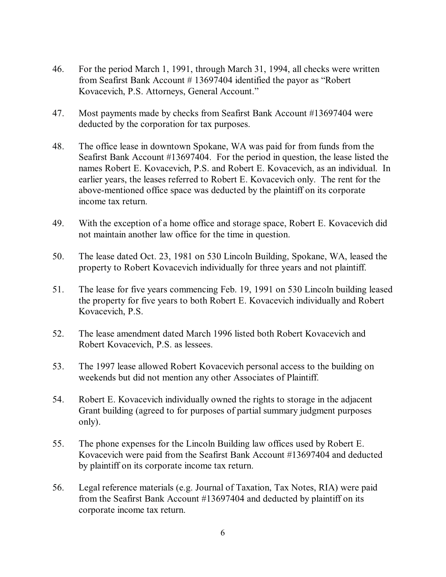- 46. For the period March 1, 1991, through March 31, 1994, all checks were written from Seafirst Bank Account # 13697404 identified the payor as "Robert Kovacevich, P.S. Attorneys, General Account."
- 47. Most payments made by checks from Seafirst Bank Account #13697404 were deducted by the corporation for tax purposes.
- 48. The office lease in downtown Spokane, WA was paid for from funds from the Seafirst Bank Account #13697404. For the period in question, the lease listed the names Robert E. Kovacevich, P.S. and Robert E. Kovacevich, as an individual. In earlier years, the leases referred to Robert E. Kovacevich only. The rent for the above-mentioned office space was deducted by the plaintiff on its corporate income tax return.
- 49. With the exception of a home office and storage space, Robert E. Kovacevich did not maintain another law office for the time in question.
- 50. The lease dated Oct. 23, 1981 on 530 Lincoln Building, Spokane, WA, leased the property to Robert Kovacevich individually for three years and not plaintiff.
- 51. The lease for five years commencing Feb. 19, 1991 on 530 Lincoln building leased the property for five years to both Robert E. Kovacevich individually and Robert Kovacevich, P.S.
- 52. The lease amendment dated March 1996 listed both Robert Kovacevich and Robert Kovacevich, P.S. as lessees.
- 53. The 1997 lease allowed Robert Kovacevich personal access to the building on weekends but did not mention any other Associates of Plaintiff.
- 54. Robert E. Kovacevich individually owned the rights to storage in the adjacent Grant building (agreed to for purposes of partial summary judgment purposes only).
- 55. The phone expenses for the Lincoln Building law offices used by Robert E. Kovacevich were paid from the Seafirst Bank Account #13697404 and deducted by plaintiff on its corporate income tax return.
- 56. Legal reference materials (e.g. Journal of Taxation, Tax Notes, RIA) were paid from the Seafirst Bank Account #13697404 and deducted by plaintiff on its corporate income tax return.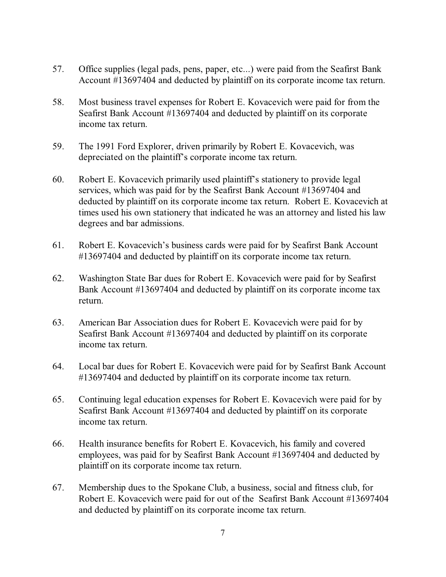- 57. Office supplies (legal pads, pens, paper, etc...) were paid from the Seafirst Bank Account #13697404 and deducted by plaintiff on its corporate income tax return.
- 58. Most business travel expenses for Robert E. Kovacevich were paid for from the Seafirst Bank Account #13697404 and deducted by plaintiff on its corporate income tax return.
- 59. The 1991 Ford Explorer, driven primarily by Robert E. Kovacevich, was depreciated on the plaintiff's corporate income tax return.
- 60. Robert E. Kovacevich primarily used plaintiff's stationery to provide legal services, which was paid for by the Seafirst Bank Account #13697404 and deducted by plaintiff on its corporate income tax return. Robert E. Kovacevich at times used his own stationery that indicated he was an attorney and listed his law degrees and bar admissions.
- 61. Robert E. Kovacevich's business cards were paid for by Seafirst Bank Account #13697404 and deducted by plaintiff on its corporate income tax return.
- 62. Washington State Bar dues for Robert E. Kovacevich were paid for by Seafirst Bank Account #13697404 and deducted by plaintiff on its corporate income tax return.
- 63. American Bar Association dues for Robert E. Kovacevich were paid for by Seafirst Bank Account #13697404 and deducted by plaintiff on its corporate income tax return.
- 64. Local bar dues for Robert E. Kovacevich were paid for by Seafirst Bank Account #13697404 and deducted by plaintiff on its corporate income tax return.
- 65. Continuing legal education expenses for Robert E. Kovacevich were paid for by Seafirst Bank Account #13697404 and deducted by plaintiff on its corporate income tax return.
- 66. Health insurance benefits for Robert E. Kovacevich, his family and covered employees, was paid for by Seafirst Bank Account #13697404 and deducted by plaintiff on its corporate income tax return.
- 67. Membership dues to the Spokane Club, a business, social and fitness club, for Robert E. Kovacevich were paid for out of the Seafirst Bank Account #13697404 and deducted by plaintiff on its corporate income tax return.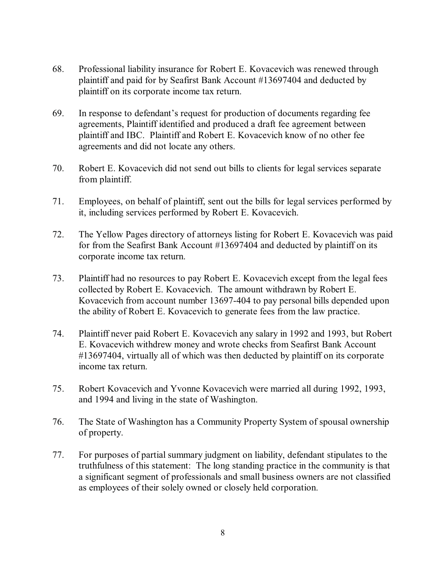- 68. Professional liability insurance for Robert E. Kovacevich was renewed through plaintiff and paid for by Seafirst Bank Account #13697404 and deducted by plaintiff on its corporate income tax return.
- 69. In response to defendant's request for production of documents regarding fee agreements, Plaintiff identified and produced a draft fee agreement between plaintiff and IBC. Plaintiff and Robert E. Kovacevich know of no other fee agreements and did not locate any others.
- 70. Robert E. Kovacevich did not send out bills to clients for legal services separate from plaintiff.
- 71. Employees, on behalf of plaintiff, sent out the bills for legal services performed by it, including services performed by Robert E. Kovacevich.
- 72. The Yellow Pages directory of attorneys listing for Robert E. Kovacevich was paid for from the Seafirst Bank Account #13697404 and deducted by plaintiff on its corporate income tax return.
- 73. Plaintiff had no resources to pay Robert E. Kovacevich except from the legal fees collected by Robert E. Kovacevich. The amount withdrawn by Robert E. Kovacevich from account number 13697-404 to pay personal bills depended upon the ability of Robert E. Kovacevich to generate fees from the law practice.
- 74. Plaintiff never paid Robert E. Kovacevich any salary in 1992 and 1993, but Robert E. Kovacevich withdrew money and wrote checks from Seafirst Bank Account #13697404, virtually all of which was then deducted by plaintiff on its corporate income tax return.
- 75. Robert Kovacevich and Yvonne Kovacevich were married all during 1992, 1993, and 1994 and living in the state of Washington.
- 76. The State of Washington has a Community Property System of spousal ownership of property.
- 77. For purposes of partial summary judgment on liability, defendant stipulates to the truthfulness of this statement: The long standing practice in the community is that a significant segment of professionals and small business owners are not classified as employees of their solely owned or closely held corporation.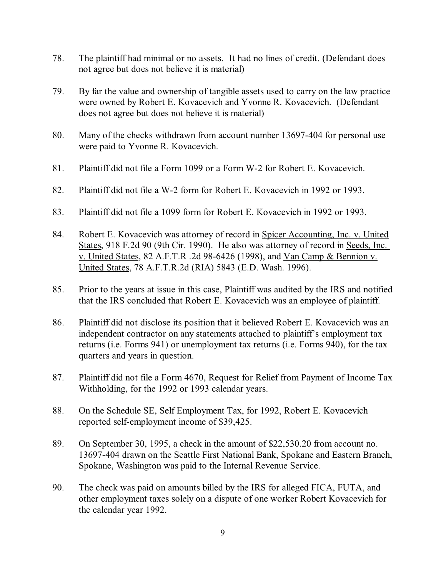- 78. The plaintiff had minimal or no assets. It had no lines of credit. (Defendant does not agree but does not believe it is material)
- 79. By far the value and ownership of tangible assets used to carry on the law practice were owned by Robert E. Kovacevich and Yvonne R. Kovacevich. (Defendant does not agree but does not believe it is material)
- 80. Many of the checks withdrawn from account number 13697-404 for personal use were paid to Yvonne R. Kovacevich.
- 81. Plaintiff did not file a Form 1099 or a Form W-2 for Robert E. Kovacevich.
- 82. Plaintiff did not file a W-2 form for Robert E. Kovacevich in 1992 or 1993.
- 83. Plaintiff did not file a 1099 form for Robert E. Kovacevich in 1992 or 1993.
- 84. Robert E. Kovacevich was attorney of record in Spicer Accounting, Inc. v. United States, 918 F.2d 90 (9th Cir. 1990). He also was attorney of record in Seeds, Inc. v. United States, 82 A.F.T.R .2d 98-6426 (1998), and Van Camp & Bennion v. United States, 78 A.F.T.R.2d (RIA) 5843 (E.D. Wash. 1996).
- 85. Prior to the years at issue in this case, Plaintiff was audited by the IRS and notified that the IRS concluded that Robert E. Kovacevich was an employee of plaintiff.
- 86. Plaintiff did not disclose its position that it believed Robert E. Kovacevich was an independent contractor on any statements attached to plaintiff's employment tax returns (i.e. Forms 941) or unemployment tax returns (i.e. Forms 940), for the tax quarters and years in question.
- 87. Plaintiff did not file a Form 4670, Request for Relief from Payment of Income Tax Withholding, for the 1992 or 1993 calendar years.
- 88. On the Schedule SE, Self Employment Tax, for 1992, Robert E. Kovacevich reported self-employment income of \$39,425.
- 89. On September 30, 1995, a check in the amount of \$22,530.20 from account no. 13697-404 drawn on the Seattle First National Bank, Spokane and Eastern Branch, Spokane, Washington was paid to the Internal Revenue Service.
- 90. The check was paid on amounts billed by the IRS for alleged FICA, FUTA, and other employment taxes solely on a dispute of one worker Robert Kovacevich for the calendar year 1992.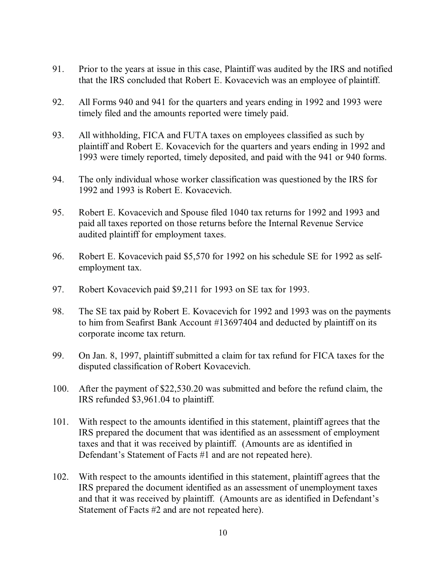- 91. Prior to the years at issue in this case, Plaintiff was audited by the IRS and notified that the IRS concluded that Robert E. Kovacevich was an employee of plaintiff.
- 92. All Forms 940 and 941 for the quarters and years ending in 1992 and 1993 were timely filed and the amounts reported were timely paid.
- 93. All withholding, FICA and FUTA taxes on employees classified as such by plaintiff and Robert E. Kovacevich for the quarters and years ending in 1992 and 1993 were timely reported, timely deposited, and paid with the 941 or 940 forms.
- 94. The only individual whose worker classification was questioned by the IRS for 1992 and 1993 is Robert E. Kovacevich.
- 95. Robert E. Kovacevich and Spouse filed 1040 tax returns for 1992 and 1993 and paid all taxes reported on those returns before the Internal Revenue Service audited plaintiff for employment taxes.
- 96. Robert E. Kovacevich paid \$5,570 for 1992 on his schedule SE for 1992 as selfemployment tax.
- 97. Robert Kovacevich paid \$9,211 for 1993 on SE tax for 1993.
- 98. The SE tax paid by Robert E. Kovacevich for 1992 and 1993 was on the payments to him from Seafirst Bank Account #13697404 and deducted by plaintiff on its corporate income tax return.
- 99. On Jan. 8, 1997, plaintiff submitted a claim for tax refund for FICA taxes for the disputed classification of Robert Kovacevich.
- 100. After the payment of \$22,530.20 was submitted and before the refund claim, the IRS refunded \$3,961.04 to plaintiff.
- 101. With respect to the amounts identified in this statement, plaintiff agrees that the IRS prepared the document that was identified as an assessment of employment taxes and that it was received by plaintiff. (Amounts are as identified in Defendant's Statement of Facts #1 and are not repeated here).
- 102. With respect to the amounts identified in this statement, plaintiff agrees that the IRS prepared the document identified as an assessment of unemployment taxes and that it was received by plaintiff. (Amounts are as identified in Defendant's Statement of Facts #2 and are not repeated here).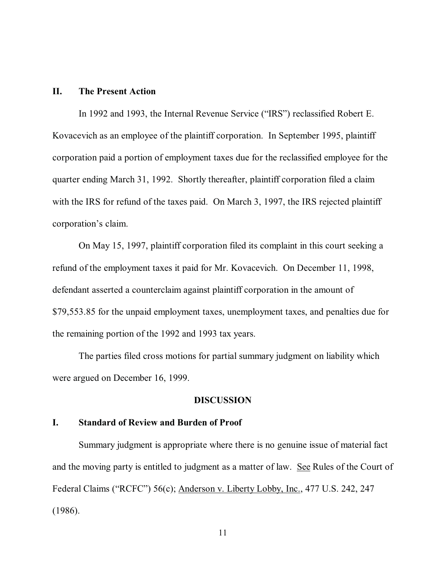## **II. The Present Action**

In 1992 and 1993, the Internal Revenue Service ("IRS") reclassified Robert E. Kovacevich as an employee of the plaintiff corporation. In September 1995, plaintiff corporation paid a portion of employment taxes due for the reclassified employee for the quarter ending March 31, 1992. Shortly thereafter, plaintiff corporation filed a claim with the IRS for refund of the taxes paid. On March 3, 1997, the IRS rejected plaintiff corporation's claim.

On May 15, 1997, plaintiff corporation filed its complaint in this court seeking a refund of the employment taxes it paid for Mr. Kovacevich. On December 11, 1998, defendant asserted a counterclaim against plaintiff corporation in the amount of \$79,553.85 for the unpaid employment taxes, unemployment taxes, and penalties due for the remaining portion of the 1992 and 1993 tax years.

The parties filed cross motions for partial summary judgment on liability which were argued on December 16, 1999.

#### **DISCUSSION**

## **I. Standard of Review and Burden of Proof**

Summary judgment is appropriate where there is no genuine issue of material fact and the moving party is entitled to judgment as a matter of law. See Rules of the Court of Federal Claims ("RCFC") 56(c); Anderson v. Liberty Lobby, Inc., 477 U.S. 242, 247 (1986).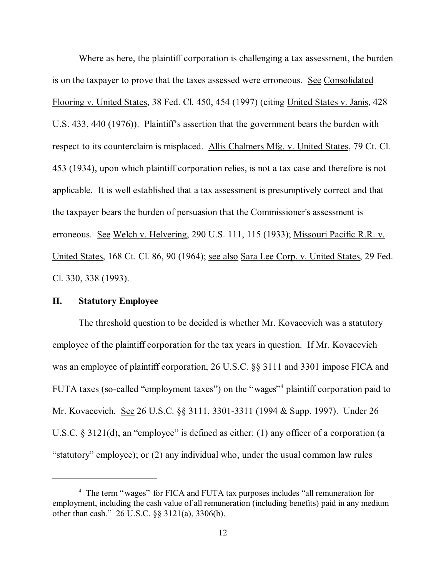Where as here, the plaintiff corporation is challenging a tax assessment, the burden is on the taxpayer to prove that the taxes assessed were erroneous. See Consolidated Flooring v. United States, 38 Fed. Cl. 450, 454 (1997) (citing United States v. Janis, 428 U.S. 433, 440 (1976)). Plaintiff's assertion that the government bears the burden with respect to its counterclaim is misplaced. Allis Chalmers Mfg. v. United States, 79 Ct. Cl. 453 (1934), upon which plaintiff corporation relies, is not a tax case and therefore is not applicable. It is well established that a tax assessment is presumptively correct and that the taxpayer bears the burden of persuasion that the Commissioner's assessment is erroneous. See Welch v. Helvering, 290 U.S. 111, 115 (1933); Missouri Pacific R.R. v. United States, 168 Ct. Cl. 86, 90 (1964); see also Sara Lee Corp. v. United States, 29 Fed. Cl. 330, 338 (1993).

## **II. Statutory Employee**

The threshold question to be decided is whether Mr. Kovacevich was a statutory employee of the plaintiff corporation for the tax years in question. If Mr. Kovacevich was an employee of plaintiff corporation, 26 U.S.C. §§ 3111 and 3301 impose FICA and FUTA taxes (so-called "employment taxes") on the "wages"<sup>4</sup> plaintiff corporation paid to Mr. Kovacevich. See 26 U.S.C. §§ 3111, 3301-3311 (1994 & Supp. 1997). Under 26 U.S.C. § 3121(d), an "employee" is defined as either: (1) any officer of a corporation (a "statutory" employee); or (2) any individual who, under the usual common law rules

<sup>&</sup>lt;sup>4</sup> The term "wages" for FICA and FUTA tax purposes includes "all remuneration for employment, including the cash value of all remuneration (including benefits) paid in any medium other than cash." 26 U.S.C. §§ 3121(a), 3306(b).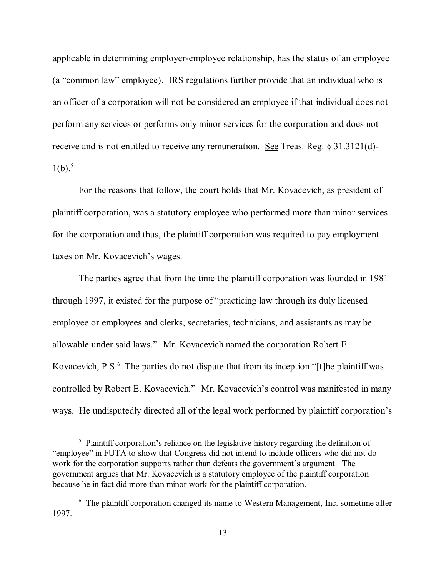applicable in determining employer-employee relationship, has the status of an employee (a "common law" employee). IRS regulations further provide that an individual who is an officer of a corporation will not be considered an employee if that individual does not perform any services or performs only minor services for the corporation and does not receive and is not entitled to receive any remuneration. See Treas. Reg. § 31.3121(d)-  $1(b).^5$ 

For the reasons that follow, the court holds that Mr. Kovacevich, as president of plaintiff corporation, was a statutory employee who performed more than minor services for the corporation and thus, the plaintiff corporation was required to pay employment taxes on Mr. Kovacevich's wages.

The parties agree that from the time the plaintiff corporation was founded in 1981 through 1997, it existed for the purpose of "practicing law through its duly licensed employee or employees and clerks, secretaries, technicians, and assistants as may be allowable under said laws." Mr. Kovacevich named the corporation Robert E. Kovacevich, P.S.<sup>6</sup> The parties do not dispute that from its inception "[t]he plaintiff was controlled by Robert E. Kovacevich." Mr. Kovacevich's control was manifested in many ways. He undisputedly directed all of the legal work performed by plaintiff corporation's

<sup>&</sup>lt;sup>5</sup> Plaintiff corporation's reliance on the legislative history regarding the definition of "employee" in FUTA to show that Congress did not intend to include officers who did not do work for the corporation supports rather than defeats the government's argument. The government argues that Mr. Kovacevich is a statutory employee of the plaintiff corporation because he in fact did more than minor work for the plaintiff corporation.

<sup>&</sup>lt;sup>6</sup> The plaintiff corporation changed its name to Western Management, Inc. sometime after 1997.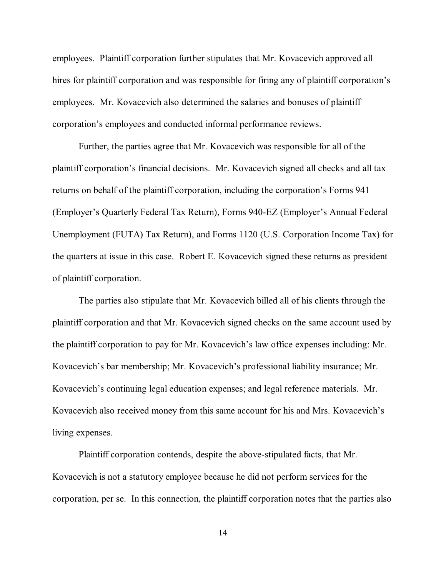employees. Plaintiff corporation further stipulates that Mr. Kovacevich approved all hires for plaintiff corporation and was responsible for firing any of plaintiff corporation's employees. Mr. Kovacevich also determined the salaries and bonuses of plaintiff corporation's employees and conducted informal performance reviews.

Further, the parties agree that Mr. Kovacevich was responsible for all of the plaintiff corporation's financial decisions. Mr. Kovacevich signed all checks and all tax returns on behalf of the plaintiff corporation, including the corporation's Forms 941 (Employer's Quarterly Federal Tax Return), Forms 940-EZ (Employer's Annual Federal Unemployment (FUTA) Tax Return), and Forms 1120 (U.S. Corporation Income Tax) for the quarters at issue in this case. Robert E. Kovacevich signed these returns as president of plaintiff corporation.

The parties also stipulate that Mr. Kovacevich billed all of his clients through the plaintiff corporation and that Mr. Kovacevich signed checks on the same account used by the plaintiff corporation to pay for Mr. Kovacevich's law office expenses including: Mr. Kovacevich's bar membership; Mr. Kovacevich's professional liability insurance; Mr. Kovacevich's continuing legal education expenses; and legal reference materials. Mr. Kovacevich also received money from this same account for his and Mrs. Kovacevich's living expenses.

Plaintiff corporation contends, despite the above-stipulated facts, that Mr. Kovacevich is not a statutory employee because he did not perform services for the corporation, per se. In this connection, the plaintiff corporation notes that the parties also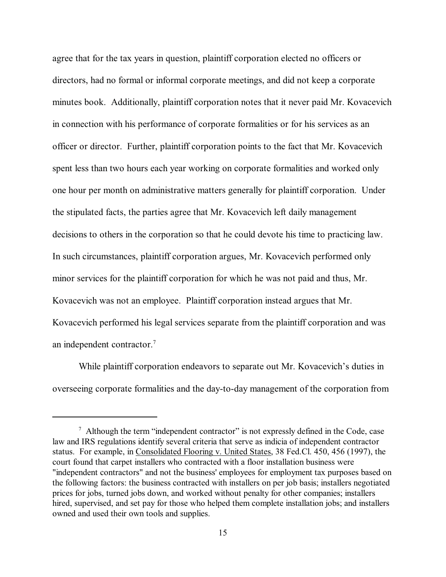agree that for the tax years in question, plaintiff corporation elected no officers or directors, had no formal or informal corporate meetings, and did not keep a corporate minutes book. Additionally, plaintiff corporation notes that it never paid Mr. Kovacevich in connection with his performance of corporate formalities or for his services as an officer or director. Further, plaintiff corporation points to the fact that Mr. Kovacevich spent less than two hours each year working on corporate formalities and worked only one hour per month on administrative matters generally for plaintiff corporation. Under the stipulated facts, the parties agree that Mr. Kovacevich left daily management decisions to others in the corporation so that he could devote his time to practicing law. In such circumstances, plaintiff corporation argues, Mr. Kovacevich performed only minor services for the plaintiff corporation for which he was not paid and thus, Mr. Kovacevich was not an employee. Plaintiff corporation instead argues that Mr. Kovacevich performed his legal services separate from the plaintiff corporation and was an independent contractor.7

While plaintiff corporation endeavors to separate out Mr. Kovacevich's duties in overseeing corporate formalities and the day-to-day management of the corporation from

 $7$  Although the term "independent contractor" is not expressly defined in the Code, case law and IRS regulations identify several criteria that serve as indicia of independent contractor status. For example, in Consolidated Flooring v. United States, 38 Fed.Cl. 450, 456 (1997), the court found that carpet installers who contracted with a floor installation business were "independent contractors" and not the business' employees for employment tax purposes based on the following factors: the business contracted with installers on per job basis; installers negotiated prices for jobs, turned jobs down, and worked without penalty for other companies; installers hired, supervised, and set pay for those who helped them complete installation jobs; and installers owned and used their own tools and supplies.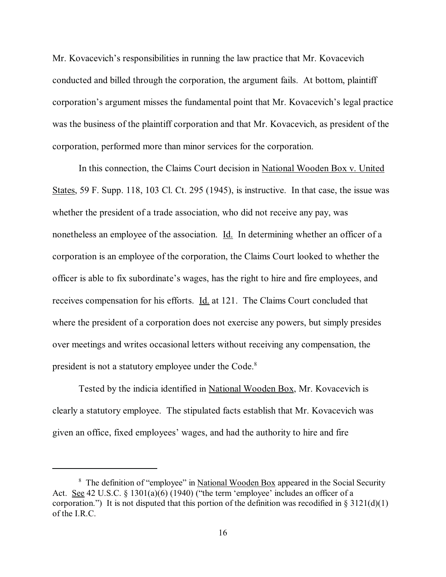Mr. Kovacevich's responsibilities in running the law practice that Mr. Kovacevich conducted and billed through the corporation, the argument fails. At bottom, plaintiff corporation's argument misses the fundamental point that Mr. Kovacevich's legal practice was the business of the plaintiff corporation and that Mr. Kovacevich, as president of the corporation, performed more than minor services for the corporation.

In this connection, the Claims Court decision in National Wooden Box v. United States, 59 F. Supp. 118, 103 Cl. Ct. 295 (1945), is instructive. In that case, the issue was whether the president of a trade association, who did not receive any pay, was nonetheless an employee of the association. Id. In determining whether an officer of a corporation is an employee of the corporation, the Claims Court looked to whether the officer is able to fix subordinate's wages, has the right to hire and fire employees, and receives compensation for his efforts. Id. at 121. The Claims Court concluded that where the president of a corporation does not exercise any powers, but simply presides over meetings and writes occasional letters without receiving any compensation, the president is not a statutory employee under the Code.8

Tested by the indicia identified in National Wooden Box, Mr. Kovacevich is clearly a statutory employee. The stipulated facts establish that Mr. Kovacevich was given an office, fixed employees' wages, and had the authority to hire and fire

<sup>&</sup>lt;sup>8</sup> The definition of "employee" in National Wooden Box appeared in the Social Security Act. See 42 U.S.C. § 1301(a)(6) (1940) ("the term 'employee' includes an officer of a corporation.") It is not disputed that this portion of the definition was recodified in  $\S 3121(d)(1)$ of the I.R.C.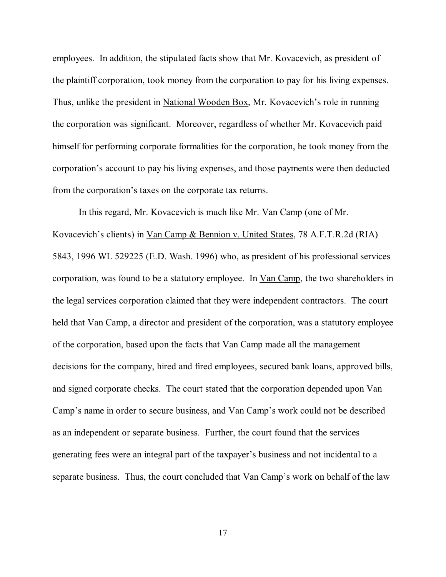employees. In addition, the stipulated facts show that Mr. Kovacevich, as president of the plaintiff corporation, took money from the corporation to pay for his living expenses. Thus, unlike the president in National Wooden Box, Mr. Kovacevich's role in running the corporation was significant. Moreover, regardless of whether Mr. Kovacevich paid himself for performing corporate formalities for the corporation, he took money from the corporation's account to pay his living expenses, and those payments were then deducted from the corporation's taxes on the corporate tax returns.

In this regard, Mr. Kovacevich is much like Mr. Van Camp (one of Mr. Kovacevich's clients) in Van Camp & Bennion v. United States, 78 A.F.T.R.2d (RIA) 5843, 1996 WL 529225 (E.D. Wash. 1996) who, as president of his professional services corporation, was found to be a statutory employee. In Van Camp, the two shareholders in the legal services corporation claimed that they were independent contractors. The court held that Van Camp, a director and president of the corporation, was a statutory employee of the corporation, based upon the facts that Van Camp made all the management decisions for the company, hired and fired employees, secured bank loans, approved bills, and signed corporate checks. The court stated that the corporation depended upon Van Camp's name in order to secure business, and Van Camp's work could not be described as an independent or separate business. Further, the court found that the services generating fees were an integral part of the taxpayer's business and not incidental to a separate business. Thus, the court concluded that Van Camp's work on behalf of the law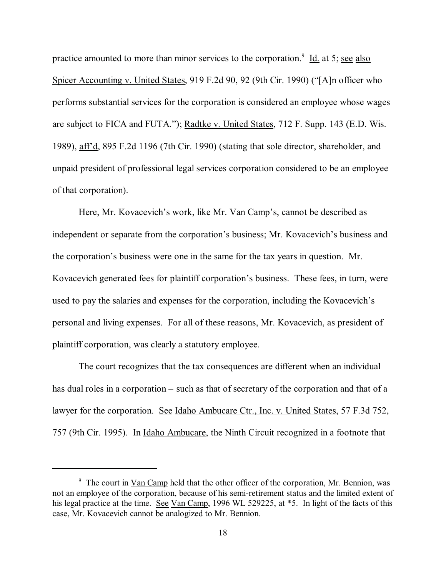practice amounted to more than minor services to the corporation.<sup>9</sup> Id. at 5; see also Spicer Accounting v. United States, 919 F.2d 90, 92 (9th Cir. 1990) ("[A]n officer who performs substantial services for the corporation is considered an employee whose wages are subject to FICA and FUTA."); Radtke v. United States, 712 F. Supp. 143 (E.D. Wis. 1989), aff'd, 895 F.2d 1196 (7th Cir. 1990) (stating that sole director, shareholder, and unpaid president of professional legal services corporation considered to be an employee of that corporation).

Here, Mr. Kovacevich's work, like Mr. Van Camp's, cannot be described as independent or separate from the corporation's business; Mr. Kovacevich's business and the corporation's business were one in the same for the tax years in question. Mr. Kovacevich generated fees for plaintiff corporation's business. These fees, in turn, were used to pay the salaries and expenses for the corporation, including the Kovacevich's personal and living expenses. For all of these reasons, Mr. Kovacevich, as president of plaintiff corporation, was clearly a statutory employee.

The court recognizes that the tax consequences are different when an individual has dual roles in a corporation – such as that of secretary of the corporation and that of a lawyer for the corporation. See Idaho Ambucare Ctr., Inc. v. United States, 57 F.3d 752, 757 (9th Cir. 1995). In Idaho Ambucare, the Ninth Circuit recognized in a footnote that

<sup>&</sup>lt;sup>9</sup> The court in Van Camp held that the other officer of the corporation, Mr. Bennion, was not an employee of the corporation, because of his semi-retirement status and the limited extent of his legal practice at the time. See Van Camp, 1996 WL 529225, at  $*5$ . In light of the facts of this case, Mr. Kovacevich cannot be analogized to Mr. Bennion.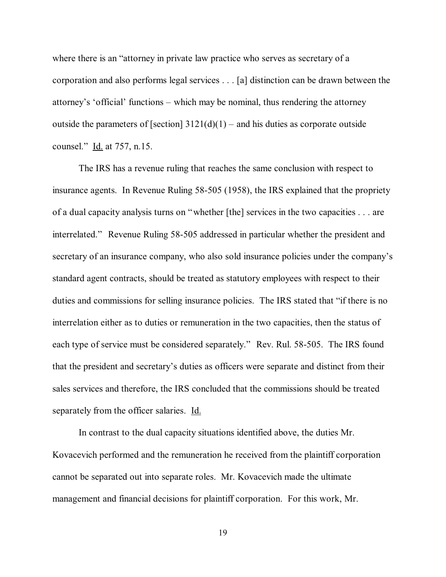where there is an "attorney in private law practice who serves as secretary of a corporation and also performs legal services . . . [a] distinction can be drawn between the attorney's 'official' functions – which may be nominal, thus rendering the attorney outside the parameters of [section]  $3121(d)(1)$  – and his duties as corporate outside counsel." Id. at 757, n.15.

The IRS has a revenue ruling that reaches the same conclusion with respect to insurance agents. In Revenue Ruling 58-505 (1958), the IRS explained that the propriety of a dual capacity analysis turns on "whether [the] services in the two capacities . . . are interrelated." Revenue Ruling 58-505 addressed in particular whether the president and secretary of an insurance company, who also sold insurance policies under the company's standard agent contracts, should be treated as statutory employees with respect to their duties and commissions for selling insurance policies. The IRS stated that "if there is no interrelation either as to duties or remuneration in the two capacities, then the status of each type of service must be considered separately." Rev. Rul. 58-505. The IRS found that the president and secretary's duties as officers were separate and distinct from their sales services and therefore, the IRS concluded that the commissions should be treated separately from the officer salaries. Id.

In contrast to the dual capacity situations identified above, the duties Mr. Kovacevich performed and the remuneration he received from the plaintiff corporation cannot be separated out into separate roles. Mr. Kovacevich made the ultimate management and financial decisions for plaintiff corporation. For this work, Mr.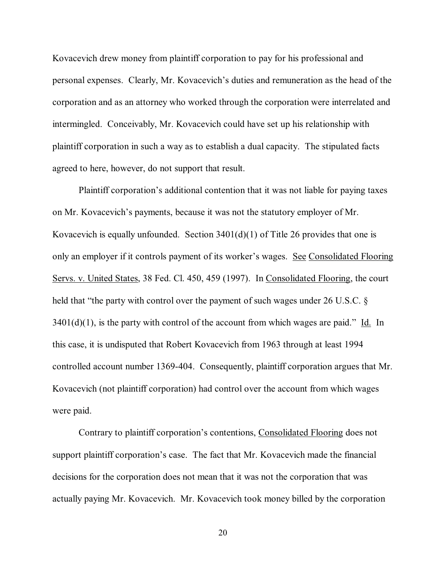Kovacevich drew money from plaintiff corporation to pay for his professional and personal expenses. Clearly, Mr. Kovacevich's duties and remuneration as the head of the corporation and as an attorney who worked through the corporation were interrelated and intermingled. Conceivably, Mr. Kovacevich could have set up his relationship with plaintiff corporation in such a way as to establish a dual capacity. The stipulated facts agreed to here, however, do not support that result.

Plaintiff corporation's additional contention that it was not liable for paying taxes on Mr. Kovacevich's payments, because it was not the statutory employer of Mr. Kovacevich is equally unfounded. Section  $3401(d)(1)$  of Title 26 provides that one is only an employer if it controls payment of its worker's wages. See Consolidated Flooring Servs. v. United States, 38 Fed. Cl. 450, 459 (1997). In Consolidated Flooring, the court held that "the party with control over the payment of such wages under 26 U.S.C. §  $3401(d)(1)$ , is the party with control of the account from which wages are paid." Id. In this case, it is undisputed that Robert Kovacevich from 1963 through at least 1994 controlled account number 1369-404. Consequently, plaintiff corporation argues that Mr. Kovacevich (not plaintiff corporation) had control over the account from which wages were paid.

Contrary to plaintiff corporation's contentions, Consolidated Flooring does not support plaintiff corporation's case. The fact that Mr. Kovacevich made the financial decisions for the corporation does not mean that it was not the corporation that was actually paying Mr. Kovacevich. Mr. Kovacevich took money billed by the corporation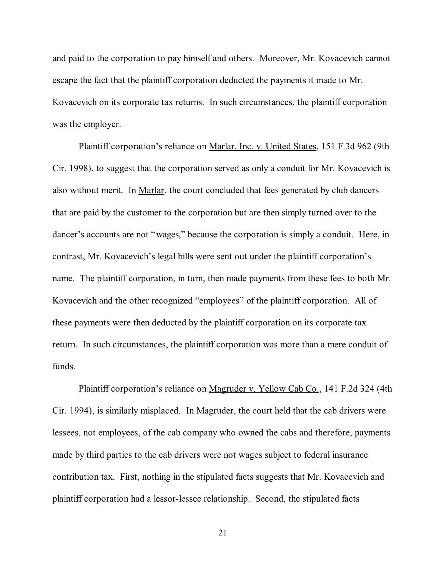and paid to the corporation to pay himself and others. Moreover, Mr. Kovacevich cannot escape the fact that the plaintiff corporation deducted the payments it made to Mr. Kovacevich on its corporate tax returns. In such circumstances, the plaintiff corporation was the employer.

Plaintiff corporation's reliance on Marlar, Inc. v. United States, 151 F.3d 962 (9th Cir. 1998), to suggest that the corporation served as only a conduit for Mr. Kovacevich is also without merit. In Marlar, the court concluded that fees generated by club dancers that are paid by the customer to the corporation but are then simply turned over to the dancer's accounts are not "wages," because the corporation is simply a conduit. Here, in contrast, Mr. Kovacevich's legal bills were sent out under the plaintiff corporation's name. The plaintiff corporation, in turn, then made payments from these fees to both Mr. Kovacevich and the other recognized "employees" of the plaintiff corporation. All of these payments were then deducted by the plaintiff corporation on its corporate tax return. In such circumstances, the plaintiff corporation was more than a mere conduit of funds.

Plaintiff corporation's reliance on Magruder v. Yellow Cab Co., 141 F.2d 324 (4th Cir. 1994), is similarly misplaced. In Magruder, the court held that the cab drivers were lessees, not employees, of the cab company who owned the cabs and therefore, payments made by third parties to the cab drivers were not wages subject to federal insurance contribution tax. First, nothing in the stipulated facts suggests that Mr. Kovacevich and plaintiff corporation had a lessor-lessee relationship. Second, the stipulated facts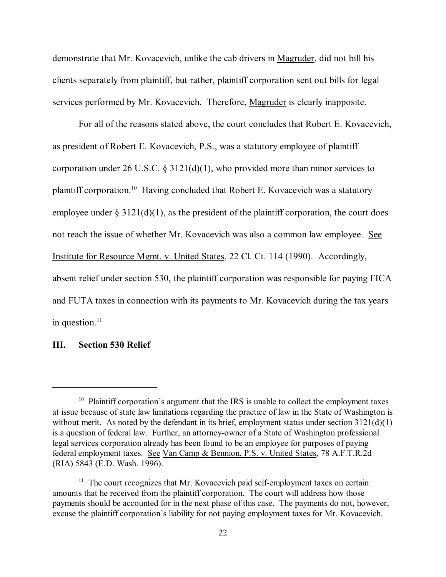demonstrate that Mr. Kovacevich, unlike the cab drivers in Magruder, did not bill his clients separately from plaintiff, but rather, plaintiff corporation sent out bills for legal services performed by Mr. Kovacevich. Therefore, Magruder is clearly inapposite.

For all of the reasons stated above, the court concludes that Robert E. Kovacevich, as president of Robert E. Kovacevich, P.S., was a statutory employee of plaintiff corporation under 26 U.S.C.  $\S$  3121(d)(1), who provided more than minor services to plaintiff corporation.10 Having concluded that Robert E. Kovacevich was a statutory employee under  $\S 3121(d)(1)$ , as the president of the plaintiff corporation, the court does not reach the issue of whether Mr. Kovacevich was also a common law employee. See Institute for Resource Mgmt. v. United States, 22 Cl. Ct. 114 (1990). Accordingly, absent relief under section 530, the plaintiff corporation was responsible for paying FICA and FUTA taxes in connection with its payments to Mr. Kovacevich during the tax years in question. $^{11}$ 

## **III. Section 530 Relief**

 $10$  Plaintiff corporation's argument that the IRS is unable to collect the employment taxes at issue because of state law limitations regarding the practice of law in the State of Washington is without merit. As noted by the defendant in its brief, employment status under section 3121(d)(1) is a question of federal law. Further, an attorney-owner of a State of Washington professional legal services corporation already has been found to be an employee for purposes of paying federal employment taxes. See Van Camp & Bennion, P.S. v. United States, 78 A.F.T.R.2d (RIA) 5843 (E.D. Wash. 1996).

 $11$  The court recognizes that Mr. Kovacevich paid self-employment taxes on certain amounts that he received from the plaintiff corporation. The court will address how those payments should be accounted for in the next phase of this case. The payments do not, however, excuse the plaintiff corporation's liability for not paying employment taxes for Mr. Kovacevich.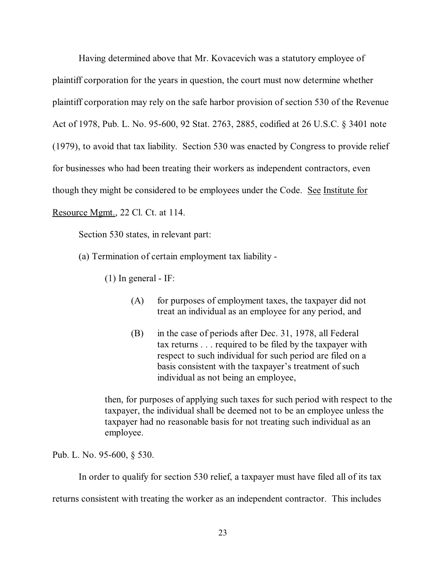Having determined above that Mr. Kovacevich was a statutory employee of plaintiff corporation for the years in question, the court must now determine whether plaintiff corporation may rely on the safe harbor provision of section 530 of the Revenue Act of 1978, Pub. L. No. 95-600, 92 Stat. 2763, 2885, codified at 26 U.S.C. § 3401 note (1979), to avoid that tax liability. Section 530 was enacted by Congress to provide relief for businesses who had been treating their workers as independent contractors, even though they might be considered to be employees under the Code. See Institute for Resource Mgmt., 22 Cl. Ct. at 114.

Section 530 states, in relevant part:

(a) Termination of certain employment tax liability -

 $(1)$  In general - IF:

- (A) for purposes of employment taxes, the taxpayer did not treat an individual as an employee for any period, and
- (B) in the case of periods after Dec. 31, 1978, all Federal tax returns . . . required to be filed by the taxpayer with respect to such individual for such period are filed on a basis consistent with the taxpayer's treatment of such individual as not being an employee,

then, for purposes of applying such taxes for such period with respect to the taxpayer, the individual shall be deemed not to be an employee unless the taxpayer had no reasonable basis for not treating such individual as an employee.

Pub. L. No. 95-600, § 530.

In order to qualify for section 530 relief, a taxpayer must have filed all of its tax

returns consistent with treating the worker as an independent contractor. This includes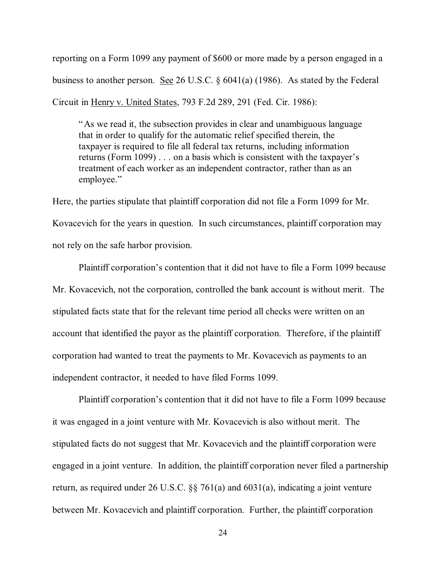reporting on a Form 1099 any payment of \$600 or more made by a person engaged in a business to another person. See 26 U.S.C. § 6041(a) (1986). As stated by the Federal Circuit in Henry v. United States, 793 F.2d 289, 291 (Fed. Cir. 1986):

"As we read it, the subsection provides in clear and unambiguous language that in order to qualify for the automatic relief specified therein, the taxpayer is required to file all federal tax returns, including information returns (Form 1099) . . . on a basis which is consistent with the taxpayer's treatment of each worker as an independent contractor, rather than as an employee."

Here, the parties stipulate that plaintiff corporation did not file a Form 1099 for Mr. Kovacevich for the years in question. In such circumstances, plaintiff corporation may not rely on the safe harbor provision.

Plaintiff corporation's contention that it did not have to file a Form 1099 because Mr. Kovacevich, not the corporation, controlled the bank account is without merit. The stipulated facts state that for the relevant time period all checks were written on an account that identified the payor as the plaintiff corporation. Therefore, if the plaintiff corporation had wanted to treat the payments to Mr. Kovacevich as payments to an independent contractor, it needed to have filed Forms 1099.

Plaintiff corporation's contention that it did not have to file a Form 1099 because it was engaged in a joint venture with Mr. Kovacevich is also without merit. The stipulated facts do not suggest that Mr. Kovacevich and the plaintiff corporation were engaged in a joint venture. In addition, the plaintiff corporation never filed a partnership return, as required under 26 U.S.C. §§ 761(a) and 6031(a), indicating a joint venture between Mr. Kovacevich and plaintiff corporation. Further, the plaintiff corporation